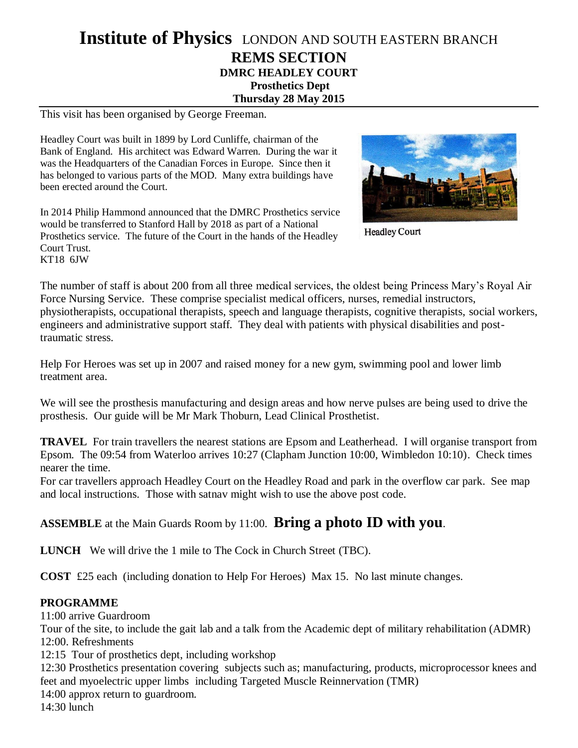## **Institute of Physics** LONDON AND SOUTH EASTERN BRANCH **REMS SECTION DMRC HEADLEY COURT Prosthetics Dept Thursday 28 May 2015**

This visit has been organised by George Freeman.

Headley Court was built in 1899 by Lord Cunliffe, chairman of the Bank of England. His architect was Edward Warren. During the war it was the Headquarters of the Canadian Forces in Europe. Since then it has belonged to various parts of the MOD. Many extra buildings have been erected around the Court.

In 2014 Philip Hammond announced that the DMRC Prosthetics service would be transferred to Stanford Hall by 2018 as part of a National Prosthetics service. The future of the Court in the hands of the Headley Court Trust. KT18 6JW



**Headley Court** 

The number of staff is about 200 from all three medical services, the oldest being Princess Mary's Royal Air Force Nursing Service. These comprise specialist medical officers, nurses, remedial instructors, physiotherapists, occupational therapists, speech and language therapists, cognitive therapists, social workers, engineers and administrative support staff. They deal with patients with physical disabilities and posttraumatic stress.

Help For Heroes was set up in 2007 and raised money for a new gym, swimming pool and lower limb treatment area.

We will see the prosthesis manufacturing and design areas and how nerve pulses are being used to drive the prosthesis. Our guide will be Mr Mark Thoburn, Lead Clinical Prosthetist.

**TRAVEL** For train travellers the nearest stations are Epsom and Leatherhead. I will organise transport from Epsom. The 09:54 from Waterloo arrives 10:27 (Clapham Junction 10:00, Wimbledon 10:10). Check times nearer the time.

For car travellers approach Headley Court on the Headley Road and park in the overflow car park. See map and local instructions. Those with satnav might wish to use the above post code.

## **ASSEMBLE** at the Main Guards Room by 11:00. **Bring a photo ID with you**.

**LUNCH** We will drive the 1 mile to The Cock in Church Street (TBC).

**COST** £25 each (including donation to Help For Heroes) Max 15. No last minute changes.

## **PROGRAMME**

11:00 arrive Guardroom

Tour of the site, to include the gait lab and a talk from the Academic dept of military rehabilitation (ADMR) 12:00. Refreshments

12:15 Tour of prosthetics dept, including workshop

12:30 Prosthetics presentation covering subjects such as; manufacturing, products, microprocessor knees and feet and myoelectric upper limbs including Targeted Muscle Reinnervation (TMR)

14:00 approx return to guardroom.

14:30 lunch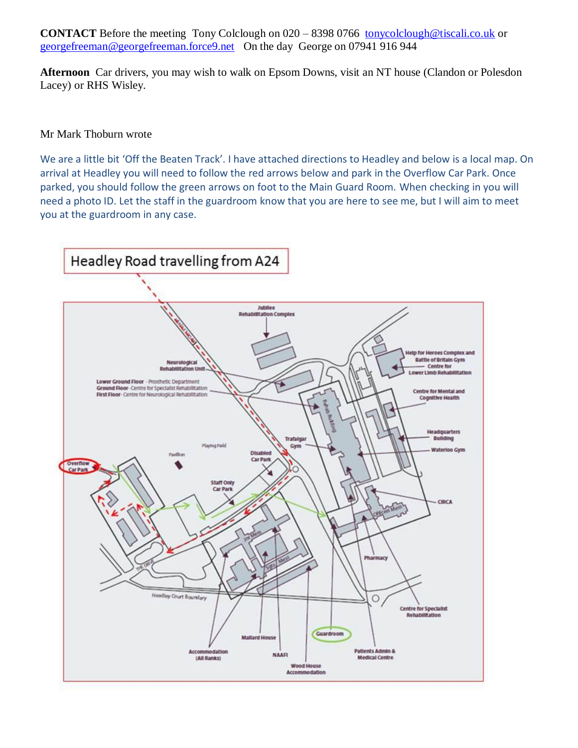**CONTACT** Before the meeting Tony Colclough on 020 – 8398 0766 [tonycolclough@tiscali.co.uk](mailto:tonycolclough@tiscali.co.uk) or [georgefreeman@georgefreeman.force9.net](mailto:georgefreeman@georgefreeman.force9.net) On the day George on 07941 916 944

**Afternoon** Car drivers, you may wish to walk on Epsom Downs, visit an NT house (Clandon or Polesdon Lacey) or RHS Wisley.

## Mr Mark Thoburn wrote

We are a little bit 'Off the Beaten Track'. I have attached directions to Headley and below is a local map. On arrival at Headley you will need to follow the red arrows below and park in the Overflow Car Park. Once parked, you should follow the green arrows on foot to the Main Guard Room. When checking in you will need a photo ID. Let the staff in the guardroom know that you are here to see me, but I will aim to meet you at the guardroom in any case.